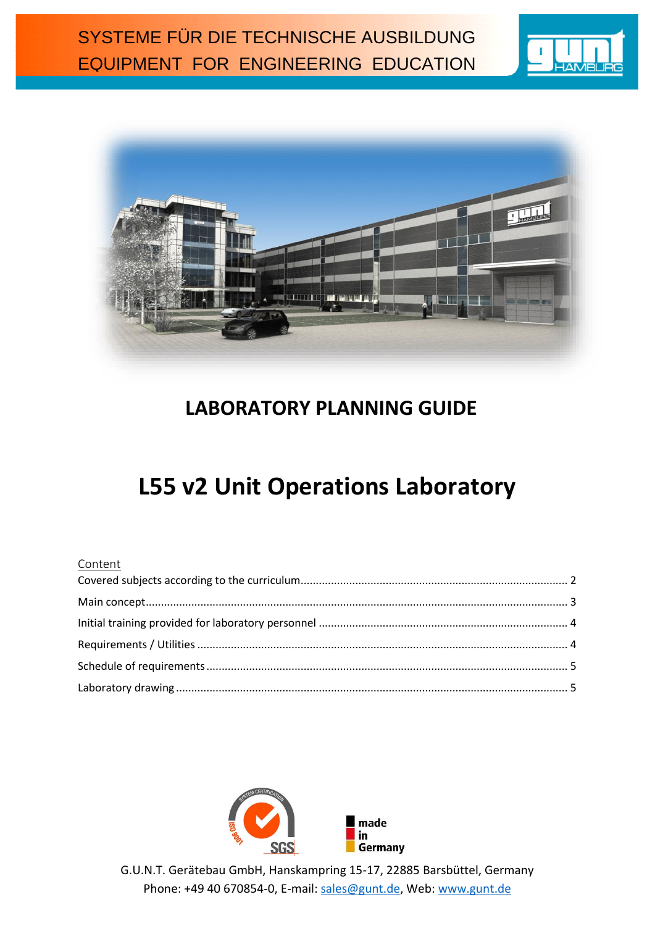



# **LABORATORY PLANNING GUIDE**

# **L55 v2 Unit Operations Laboratory**

#### Content



G.U.N.T. Gerätebau GmbH, Hanskampring 15-17, 22885 Barsbüttel, Germany Phone: +49 40 670854-0, E-mail: [sales@gunt.de,](mailto:sales@gunt.de) Web: [www.gunt.de](http://www.gunt.de/)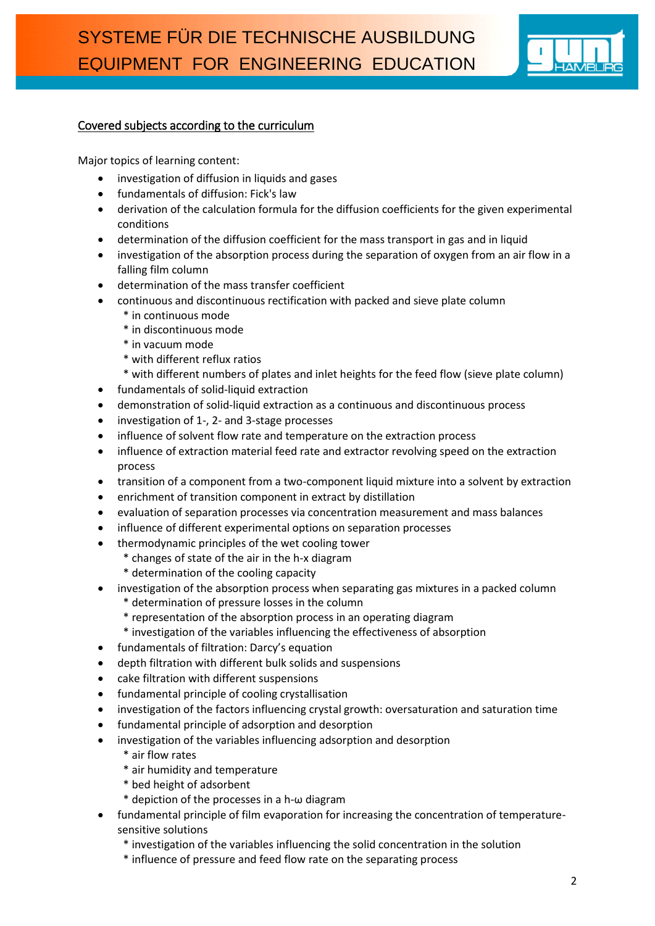

#### <span id="page-1-0"></span>Covered subjects according to the curriculum

Major topics of learning content:

- investigation of diffusion in liquids and gases
- fundamentals of diffusion: Fick's law
- derivation of the calculation formula for the diffusion coefficients for the given experimental conditions
- determination of the diffusion coefficient for the mass transport in gas and in liquid
- investigation of the absorption process during the separation of oxygen from an air flow in a falling film column
- determination of the mass transfer coefficient
- continuous and discontinuous rectification with packed and sieve plate column
	- \* in continuous mode
	- \* in discontinuous mode
	- \* in vacuum mode
	- \* with different reflux ratios
	- \* with different numbers of plates and inlet heights for the feed flow (sieve plate column)
- fundamentals of solid-liquid extraction
- demonstration of solid-liquid extraction as a continuous and discontinuous process
- investigation of 1-, 2- and 3-stage processes
- influence of solvent flow rate and temperature on the extraction process
- influence of extraction material feed rate and extractor revolving speed on the extraction process
- transition of a component from a two-component liquid mixture into a solvent by extraction
- enrichment of transition component in extract by distillation
- evaluation of separation processes via concentration measurement and mass balances
- influence of different experimental options on separation processes
- thermodynamic principles of the wet cooling tower
	- \* changes of state of the air in the h-x diagram
		- \* determination of the cooling capacity
- investigation of the absorption process when separating gas mixtures in a packed column
	- \* determination of pressure losses in the column
	- \* representation of the absorption process in an operating diagram
	- \* investigation of the variables influencing the effectiveness of absorption
- fundamentals of filtration: Darcy's equation
- depth filtration with different bulk solids and suspensions
- cake filtration with different suspensions
- fundamental principle of cooling crystallisation
- investigation of the factors influencing crystal growth: oversaturation and saturation time
- fundamental principle of adsorption and desorption
- investigation of the variables influencing adsorption and desorption
	- \* air flow rates
	- \* air humidity and temperature
	- \* bed height of adsorbent
	- \* depiction of the processes in a h-ω diagram
- fundamental principle of film evaporation for increasing the concentration of temperaturesensitive solutions
	- \* investigation of the variables influencing the solid concentration in the solution
	- \* influence of pressure and feed flow rate on the separating process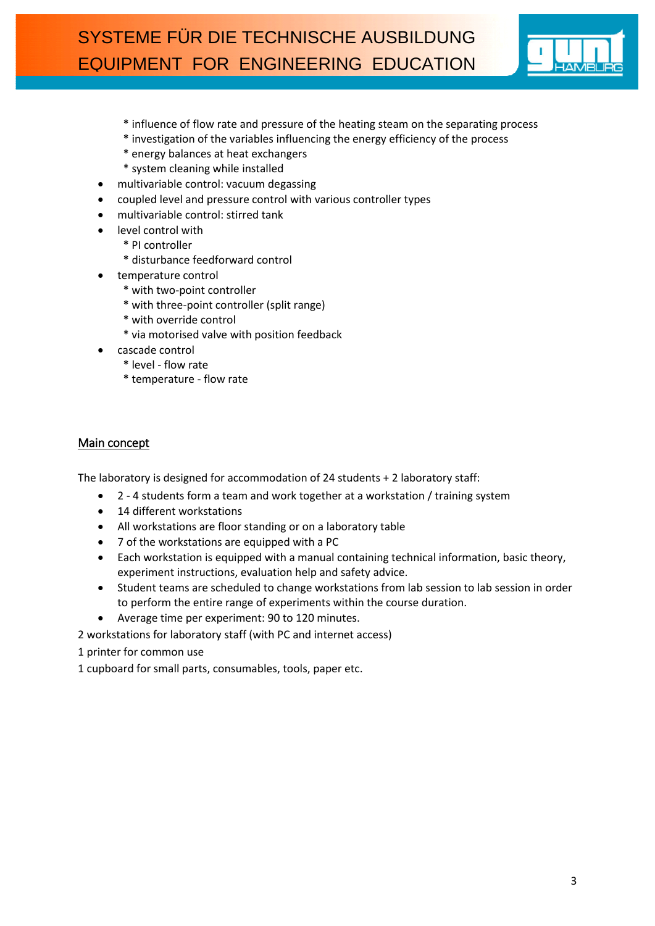

- \* influence of flow rate and pressure of the heating steam on the separating process
- \* investigation of the variables influencing the energy efficiency of the process
- \* energy balances at heat exchangers
- \* system cleaning while installed
- multivariable control: vacuum degassing
- coupled level and pressure control with various controller types
- multivariable control: stirred tank
- level control with
	- \* PI controller
	- \* disturbance feedforward control
- temperature control
	- \* with two-point controller
	- \* with three-point controller (split range)
	- \* with override control
	- \* via motorised valve with position feedback
- cascade control
	- \* level flow rate
	- \* temperature flow rate

#### <span id="page-2-0"></span>Main concept

The laboratory is designed for accommodation of 24 students + 2 laboratory staff:

- 2 4 students form a team and work together at a workstation / training system
- 14 different workstations
- All workstations are floor standing or on a laboratory table
- 7 of the workstations are equipped with a PC
- Each workstation is equipped with a manual containing technical information, basic theory, experiment instructions, evaluation help and safety advice.
- Student teams are scheduled to change workstations from lab session to lab session in order to perform the entire range of experiments within the course duration.
- Average time per experiment: 90 to 120 minutes.

2 workstations for laboratory staff (with PC and internet access)

1 printer for common use

1 cupboard for small parts, consumables, tools, paper etc.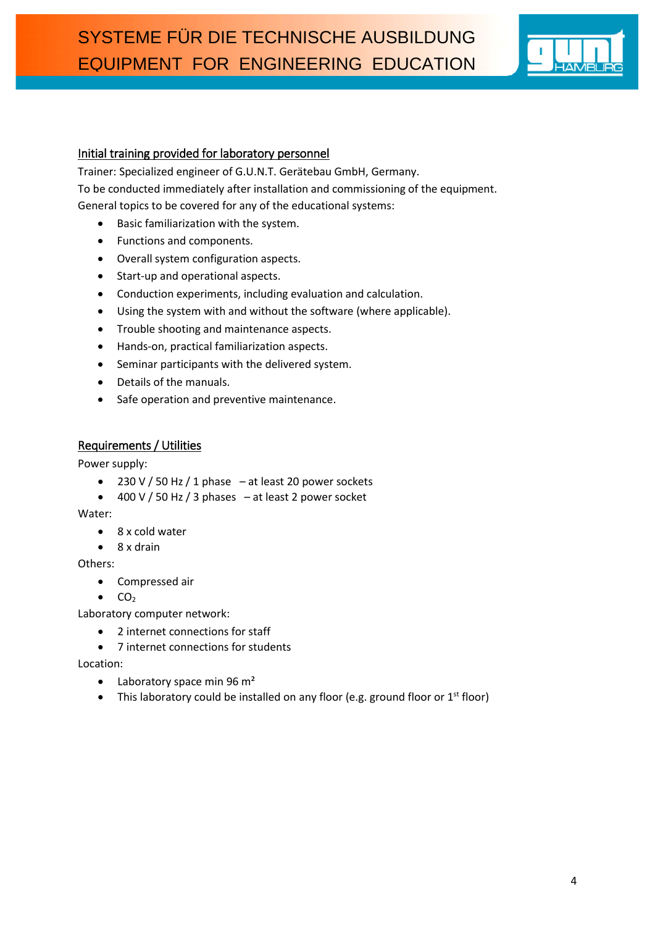

#### <span id="page-3-0"></span>Initial training provided for laboratory personnel

Trainer: Specialized engineer of G.U.N.T. Gerätebau GmbH, Germany. To be conducted immediately after installation and commissioning of the equipment. General topics to be covered for any of the educational systems:

- Basic familiarization with the system.
- Functions and components.
- Overall system configuration aspects.
- Start-up and operational aspects.
- Conduction experiments, including evaluation and calculation.
- Using the system with and without the software (where applicable).
- Trouble shooting and maintenance aspects.
- Hands-on, practical familiarization aspects.
- Seminar participants with the delivered system.
- Details of the manuals.
- Safe operation and preventive maintenance.

#### <span id="page-3-1"></span>Requirements / Utilities

Power supply:

- $\bullet$  230 V / 50 Hz / 1 phase at least 20 power sockets
- $\bullet$  400 V / 50 Hz / 3 phases at least 2 power socket

Water:

- 8 x cold water
- $\bullet$  8 x drain

Others:

- Compressed air
- $\bullet$  CO<sub>2</sub>

Laboratory computer network:

- 2 internet connections for staff
- 7 internet connections for students

Location:

- $\bullet$  Laboratory space min 96 m<sup>2</sup>
- This laboratory could be installed on any floor (e.g. ground floor or  $1^{st}$  floor)